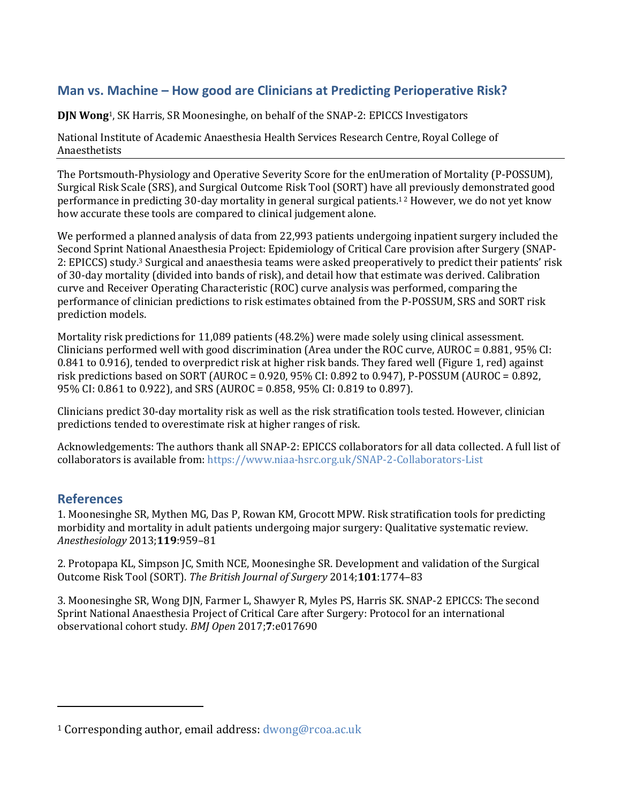## **Man vs. Machine – How good are Clinicians at Predicting Perioperative Risk?**

**DJN Wong**1, SK Harris, SR Moonesinghe, on behalf of the SNAP-2: EPICCS Investigators

National Institute of Academic Anaesthesia Health Services Research Centre, Royal College of Anaesthetists

The Portsmouth-Physiology and Operative Severity Score for the enUmeration of Mortality (P-POSSUM), Surgical Risk Scale (SRS), and Surgical Outcome Risk Tool (SORT) have all previously demonstrated good performance in predicting 30-day mortality in general surgical patients.1 2 However, we do not yet know how accurate these tools are compared to clinical judgement alone.

We performed a planned analysis of data from 22,993 patients undergoing inpatient surgery included the Second Sprint National Anaesthesia Project: Epidemiology of Critical Care provision after Surgery (SNAP-2: EPICCS) study.<sup>3</sup> Surgical and anaesthesia teams were asked preoperatively to predict their patients' risk of 30-day mortality (divided into bands of risk), and detail how that estimate was derived. Calibration curve and Receiver Operating Characteristic (ROC) curve analysis was performed, comparing the performance of clinician predictions to risk estimates obtained from the P-POSSUM, SRS and SORT risk prediction models.

Mortality risk predictions for 11,089 patients (48.2%) were made solely using clinical assessment. Clinicians performed well with good discrimination (Area under the ROC curve, AUROC = 0.881, 95% CI: 0.841 to 0.916), tended to overpredict risk at higher risk bands. They fared well (Figure 1, red) against risk predictions based on SORT (AUROC = 0.920, 95% CI: 0.892 to 0.947), P-POSSUM (AUROC = 0.892, 95% CI: 0.861 to 0.922), and SRS (AUROC = 0.858, 95% CI: 0.819 to 0.897).

Clinicians predict 30-day mortality risk as well as the risk stratification tools tested. However, clinician predictions tended to overestimate risk at higher ranges of risk.

Acknowledgements: The authors thank all SNAP-2: EPICCS collaborators for all data collected. A full list of collaborators is available from[: https://www.niaa-hsrc.org.uk/SNAP-2-Collaborators-List](https://www.niaa-hsrc.org.uk/SNAP-2-Collaborators-List)

## **References**

 $\overline{a}$ 

1. Moonesinghe SR, Mythen MG, Das P, Rowan KM, Grocott MPW. Risk stratification tools for predicting morbidity and mortality in adult patients undergoing major surgery: Qualitative systematic review. *Anesthesiology* 2013;**119**:959–81

2. Protopapa KL, Simpson JC, Smith NCE, Moonesinghe SR. Development and validation of the Surgical Outcome Risk Tool (SORT). *The British Journal of Surgery* 2014;**101**:1774–83

3. Moonesinghe SR, Wong DJN, Farmer L, Shawyer R, Myles PS, Harris SK. SNAP-2 EPICCS: The second Sprint National Anaesthesia Project of Critical Care after Surgery: Protocol for an international observational cohort study. *BMJ Open* 2017;**7**:e017690

<sup>1</sup> Corresponding author, email address: [dwong@rcoa.ac.uk](mailto:dwong@rcoa.ac.uk)